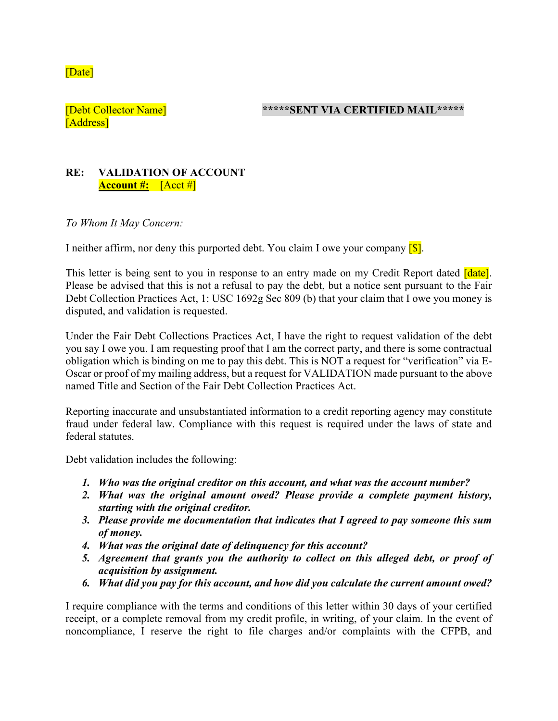[Date]

[Address]

[Debt Collector Name] **\*\*\*\*\*SENT VIA CERTIFIED MAIL\*\*\*\*\***

## **RE: VALIDATION OF ACCOUNT Account #:** [Acct #]

*To Whom It May Concern:* 

I neither affirm, nor deny this purported debt. You claim I owe your company  $\lceil \S \rceil$ .

This letter is being sent to you in response to an entry made on my Credit Report dated *date*. Please be advised that this is not a refusal to pay the debt, but a notice sent pursuant to the Fair Debt Collection Practices Act, 1: USC 1692g Sec 809 (b) that your claim that I owe you money is disputed, and validation is requested.

Under the Fair Debt Collections Practices Act, I have the right to request validation of the debt you say I owe you. I am requesting proof that I am the correct party, and there is some contractual obligation which is binding on me to pay this debt. This is NOT a request for "verification" via E-Oscar or proof of my mailing address, but a request for VALIDATION made pursuant to the above named Title and Section of the Fair Debt Collection Practices Act.

Reporting inaccurate and unsubstantiated information to a credit reporting agency may constitute fraud under federal law. Compliance with this request is required under the laws of state and federal statutes.

Debt validation includes the following:

- *1. Who was the original creditor on this account, and what was the account number?*
- *2. What was the original amount owed? Please provide a complete payment history, starting with the original creditor.*
- *3. Please provide me documentation that indicates that I agreed to pay someone this sum of money.*
- *4. What was the original date of delinquency for this account?*
- *5. Agreement that grants you the authority to collect on this alleged debt, or proof of acquisition by assignment.*
- *6. What did you pay for this account, and how did you calculate the current amount owed?*

I require compliance with the terms and conditions of this letter within 30 days of your certified receipt, or a complete removal from my credit profile, in writing, of your claim. In the event of noncompliance, I reserve the right to file charges and/or complaints with the CFPB, and